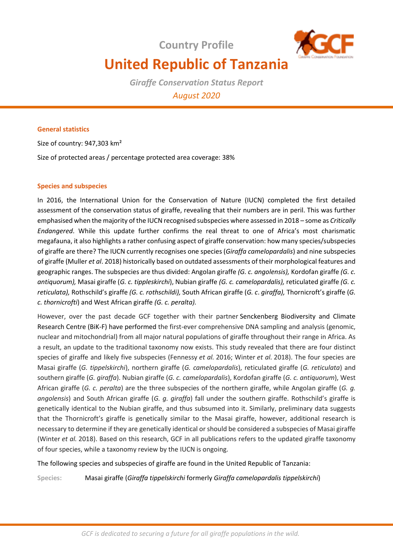**Country Profile** 



# **United Republic of Tanzania**

*Giraffe Conservation Status Report August 2020*

## **General statistics**

Size of country: 947,303 km²

Size of protected areas / percentage protected area coverage: 38%

# **Species and subspecies**

In 2016, the International Union for the Conservation of Nature (IUCN) completed the first detailed assessment of the conservation status of giraffe, revealing that their numbers are in peril. This was further emphasised when the majority of the IUCN recognised subspecies where assessed in 2018 – some as *Critically Endangered*. While this update further confirms the real threat to one of Africa's most charismatic megafauna, it also highlights a rather confusing aspect of giraffe conservation: how many species/subspecies of giraffe are there? The IUCN currently recognises one species (*Giraffa camelopardalis*) and nine subspecies of giraffe (Muller *et al*. 2018) historically based on outdated assessments of their morphological features and geographic ranges. The subspecies are thus divided: Angolan giraffe *(G. c. angolensis),* Kordofan giraffe *(G. c. antiquorum),* Masai giraffe (*G. c. tippleskirchi*), Nubian giraffe *(G. c. camelopardalis),* reticulated giraffe *(G. c. reticulata),* Rothschild's giraffe *(G. c. rothschildi),* South African giraffe (*G. c*. *giraffa),* Thornicroft's giraffe (*G. c. thornicrofti*) and West African giraffe *(G. c. peralta).* 

However, over the past decade GCF together with their partner Senckenberg Biodiversity and Climate Research Centre (BiK-F) have performed the first-ever comprehensive DNA sampling and analysis (genomic, nuclear and mitochondrial) from all major natural populations of giraffe throughout their range in Africa. As a result, an update to the traditional taxonomy now exists. This study revealed that there are four distinct species of giraffe and likely five subspecies (Fennessy *et al.* 2016; Winter *et al.* 2018). The four species are Masai giraffe (*G. tippelskirchi*), northern giraffe (*G. camelopardalis*), reticulated giraffe (*G. reticulata*) and southern giraffe (*G. giraffa*). Nubian giraffe (*G. c. camelopardalis*), Kordofan giraffe (*G. c. antiquorum*), West African giraffe (*G. c. peralta*) are the three subspecies of the northern giraffe, while Angolan giraffe (*G. g. angolensis*) and South African giraffe (*G. g. giraffa*) fall under the southern giraffe. Rothschild's giraffe is genetically identical to the Nubian giraffe, and thus subsumed into it. Similarly, preliminary data suggests that the Thornicroft's giraffe is genetically similar to the Masai giraffe, however, additional research is necessary to determine if they are genetically identical or should be considered a subspecies of Masai giraffe (Winter *et al.* 2018). Based on this research, GCF in all publications refers to the updated giraffe taxonomy of four species, while a taxonomy review by the IUCN is ongoing.

The following species and subspecies of giraffe are found in the United Republic of Tanzania:

**Species:** Masai giraffe (*Giraffa tippelskirchi* formerly *Giraffa camelopardalis tippelskirchi*)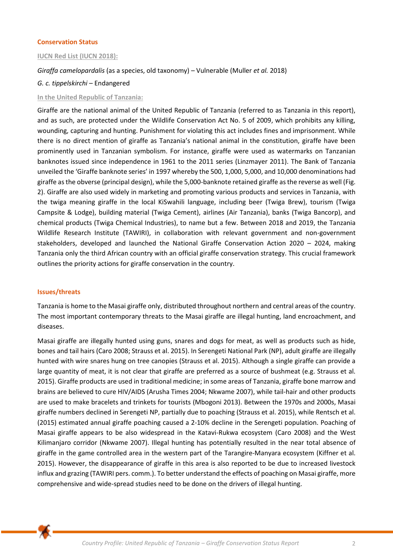## **Conservation Status**

## **IUCN Red List (IUCN 2018):**

*Giraffa camelopardalis* (as a species, old taxonomy) *–* Vulnerable (Muller *et al.* 2018)

## *G. c. tippelskirchi* – Endangered

## **In the United Republic of Tanzania:**

Giraffe are the national animal of the United Republic of Tanzania (referred to as Tanzania in this report), and as such, are protected under the Wildlife Conservation Act No. 5 of 2009, which prohibits any killing, wounding, capturing and hunting. Punishment for violating this act includes fines and imprisonment. While there is no direct mention of giraffe as Tanzania's national animal in the constitution, giraffe have been prominently used in Tanzanian symbolism. For instance, giraffe were used as watermarks on Tanzanian banknotes issued since independence in 1961 to the 2011 series (Linzmayer 2011). The Bank of Tanzania unveiled the 'Giraffe banknote series' in 1997 whereby the 500, 1,000, 5,000, and 10,000 denominations had giraffe as the obverse (principal design), while the 5,000-banknote retained giraffe as the reverse as well (Fig. 2). Giraffe are also used widely in marketing and promoting various products and services in Tanzania, with the twiga meaning giraffe in the local KiSwahili language, including beer (Twiga Brew), tourism (Twiga Campsite & Lodge), building material (Twiga Cement), airlines (Air Tanzania), banks (Twiga Bancorp), and chemical products (Twiga Chemical Industries), to name but a few. Between 2018 and 2019, the Tanzania Wildlife Research Institute (TAWIRI), in collaboration with relevant government and non-government stakeholders, developed and launched the National Giraffe Conservation Action 2020 – 2024, making Tanzania only the third African country with an official giraffe conservation strategy. This crucial framework outlines the priority actions for giraffe conservation in the country.

## **Issues/threats**

Tanzania is home to the Masai giraffe only, distributed throughout northern and central areas of the country. The most important contemporary threats to the Masai giraffe are illegal hunting, land encroachment, and diseases.

Masai giraffe are illegally hunted using guns, snares and dogs for meat, as well as products such as hide, bones and tail hairs (Caro 2008; Strauss et al. 2015). In Serengeti National Park (NP), adult giraffe are illegally hunted with wire snares hung on tree canopies (Strauss et al. 2015). Although a single giraffe can provide a large quantity of meat, it is not clear that giraffe are preferred as a source of bushmeat (e.g. Strauss et al. 2015). Giraffe products are used in traditional medicine; in some areas of Tanzania, giraffe bone marrow and brains are believed to cure HIV/AIDS (Arusha Times 2004; Nkwame 2007), while tail-hair and other products are used to make bracelets and trinkets for tourists (Mbogoni 2013). Between the 1970s and 2000s, Masai giraffe numbers declined in Serengeti NP, partially due to poaching (Strauss et al. 2015), while Rentsch et al. (2015) estimated annual giraffe poaching caused a 2-10% decline in the Serengeti population. Poaching of Masai giraffe appears to be also widespread in the Katavi-Rukwa ecosystem (Caro 2008) and the West Kilimanjaro corridor (Nkwame 2007). Illegal hunting has potentially resulted in the near total absence of giraffe in the game controlled area in the western part of the Tarangire-Manyara ecosystem (Kiffner et al. 2015). However, the disappearance of giraffe in this area is also reported to be due to increased livestock influx and grazing (TAWIRI pers. comm.). To better understand the effects of poaching on Masai giraffe, more comprehensive and wide-spread studies need to be done on the drivers of illegal hunting.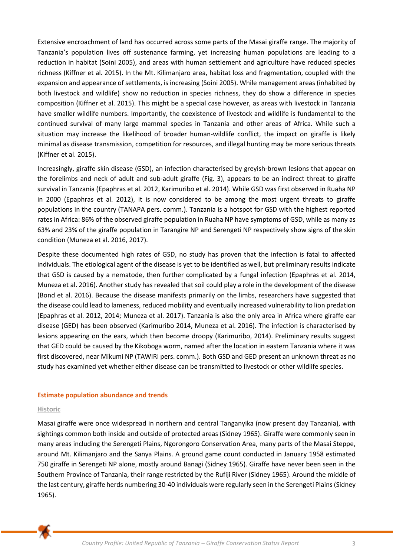Extensive encroachment of land has occurred across some parts of the Masai giraffe range. The majority of Tanzania's population lives off sustenance farming, yet increasing human populations are leading to a reduction in habitat (Soini 2005), and areas with human settlement and agriculture have reduced species richness (Kiffner et al. 2015). In the Mt. Kilimanjaro area, habitat loss and fragmentation, coupled with the expansion and appearance of settlements, is increasing (Soini 2005). While management areas (inhabited by both livestock and wildlife) show no reduction in species richness, they do show a difference in species composition (Kiffner et al. 2015). This might be a special case however, as areas with livestock in Tanzania have smaller wildlife numbers. Importantly, the coexistence of livestock and wildlife is fundamental to the continued survival of many large mammal species in Tanzania and other areas of Africa. While such a situation may increase the likelihood of broader human-wildlife conflict, the impact on giraffe is likely minimal as disease transmission, competition for resources, and illegal hunting may be more serious threats (Kiffner et al. 2015).

Increasingly, giraffe skin disease (GSD), an infection characterised by greyish-brown lesions that appear on the forelimbs and neck of adult and sub-adult giraffe (Fig. 3), appears to be an indirect threat to giraffe survival in Tanzania (Epaphras et al. 2012, Karimuribo et al. 2014). While GSD was first observed in Ruaha NP in 2000 (Epaphras et al. 2012), it is now considered to be among the most urgent threats to giraffe populations in the country (TANAPA pers. comm.). Tanzania is a hotspot for GSD with the highest reported rates in Africa: 86% of the observed giraffe population in Ruaha NP have symptoms of GSD, while as many as 63% and 23% of the giraffe population in Tarangire NP and Serengeti NP respectively show signs of the skin condition (Muneza et al. 2016, 2017).

Despite these documented high rates of GSD, no study has proven that the infection is fatal to affected individuals. The etiological agent of the disease is yet to be identified as well, but preliminary results indicate that GSD is caused by a nematode, then further complicated by a fungal infection (Epaphras et al. 2014, Muneza et al. 2016). Another study has revealed that soil could play a role in the development of the disease (Bond et al. 2016). Because the disease manifests primarily on the limbs, researchers have suggested that the disease could lead to lameness, reduced mobility and eventually increased vulnerability to lion predation (Epaphras et al. 2012, 2014; Muneza et al. 2017). Tanzania is also the only area in Africa where giraffe ear disease (GED) has been observed (Karimuribo 2014, Muneza et al. 2016). The infection is characterised by lesions appearing on the ears, which then become droopy (Karimuribo, 2014). Preliminary results suggest that GED could be caused by the Kikoboga worm, named after the location in eastern Tanzania where it was first discovered, near Mikumi NP (TAWIRI pers. comm.). Both GSD and GED present an unknown threat as no study has examined yet whether either disease can be transmitted to livestock or other wildlife species.

## **Estimate population abundance and trends**

#### **Historic**

Masai giraffe were once widespread in northern and central Tanganyika (now present day Tanzania), with sightings common both inside and outside of protected areas (Sidney 1965). Giraffe were commonly seen in many areas including the Serengeti Plains, Ngorongoro Conservation Area, many parts of the Masai Steppe, around Mt. Kilimanjaro and the Sanya Plains. A ground game count conducted in January 1958 estimated 750 giraffe in Serengeti NP alone, mostly around Banagi (Sidney 1965). Giraffe have never been seen in the Southern Province of Tanzania, their range restricted by the Rufiji River (Sidney 1965). Around the middle of the last century, giraffe herds numbering 30-40 individuals were regularly seen in the Serengeti Plains (Sidney 1965).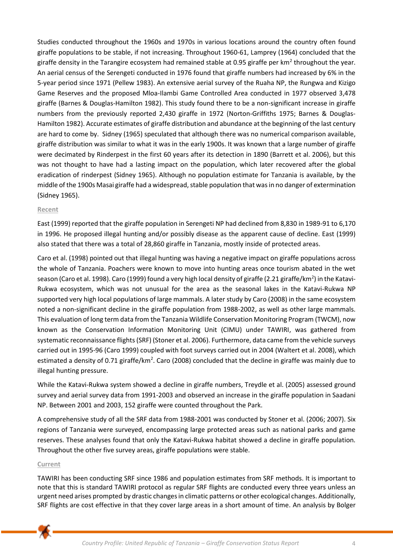Studies conducted throughout the 1960s and 1970s in various locations around the country often found giraffe populations to be stable, if not increasing. Throughout 1960-61, Lamprey (1964) concluded that the giraffe density in the Tarangire ecosystem had remained stable at 0.95 giraffe per km<sup>2</sup> throughout the year. An aerial census of the Serengeti conducted in 1976 found that giraffe numbers had increased by 6% in the 5-year period since 1971 (Pellew 1983). An extensive aerial survey of the Ruaha NP, the Rungwa and Kizigo Game Reserves and the proposed Mloa-Ilambi Game Controlled Area conducted in 1977 observed 3,478 giraffe (Barnes & Douglas-Hamilton 1982). This study found there to be a non-significant increase in giraffe numbers from the previously reported 2,430 giraffe in 1972 (Norton-Griffiths 1975; Barnes & Douglas-Hamilton 1982). Accurate estimates of giraffe distribution and abundance at the beginning of the last century are hard to come by. Sidney (1965) speculated that although there was no numerical comparison available, giraffe distribution was similar to what it was in the early 1900s. It was known that a large number of giraffe were decimated by Rinderpest in the first 60 years after its detection in 1890 (Barrett et al. 2006), but this was not thought to have had a lasting impact on the population, which later recovered after the global eradication of rinderpest (Sidney 1965). Although no population estimate for Tanzania is available, by the middle of the 1900s Masai giraffe had a widespread, stable population that was in no danger of extermination (Sidney 1965).

## **Recent**

East (1999) reported that the giraffe population in Serengeti NP had declined from 8,830 in 1989-91 to 6,170 in 1996. He proposed illegal hunting and/or possibly disease as the apparent cause of decline. East (1999) also stated that there was a total of 28,860 giraffe in Tanzania, mostly inside of protected areas.

Caro et al. (1998) pointed out that illegal hunting was having a negative impact on giraffe populations across the whole of Tanzania. Poachers were known to move into hunting areas once tourism abated in the wet season (Caro et al. 1998). Caro (1999) found a very high local density of giraffe (2.21 giraffe/km<sup>2</sup>) in the Katavi-Rukwa ecosystem, which was not unusual for the area as the seasonal lakes in the Katavi-Rukwa NP supported very high local populations of large mammals. A later study by Caro (2008) in the same ecosystem noted a non-significant decline in the giraffe population from 1988-2002, as well as other large mammals. This evaluation of long term data from the Tanzania Wildlife Conservation Monitoring Program (TWCM), now known as the Conservation Information Monitoring Unit (CIMU) under TAWIRI, was gathered from systematic reconnaissance flights (SRF) (Stoner et al. 2006). Furthermore, data came from the vehicle surveys carried out in 1995-96 (Caro 1999) coupled with foot surveys carried out in 2004 (Waltert et al. 2008), which estimated a density of 0.71 giraffe/km<sup>2</sup>. Caro (2008) concluded that the decline in giraffe was mainly due to illegal hunting pressure.

While the Katavi-Rukwa system showed a decline in giraffe numbers, Treydle et al. (2005) assessed ground survey and aerial survey data from 1991-2003 and observed an increase in the giraffe population in Saadani NP. Between 2001 and 2003, 152 giraffe were counted throughout the Park.

A comprehensive study of all the SRF data from 1988-2001 was conducted by Stoner et al. (2006; 2007). Six regions of Tanzania were surveyed, encompassing large protected areas such as national parks and game reserves. These analyses found that only the Katavi-Rukwa habitat showed a decline in giraffe population. Throughout the other five survey areas, giraffe populations were stable.

## **Current**

TAWIRI has been conducting SRF since 1986 and population estimates from SRF methods. It is important to note that this is standard TAWIRI protocol as regular SRF flights are conducted every three years unless an urgent need arises prompted by drastic changes in climatic patterns or other ecological changes. Additionally, SRF flights are cost effective in that they cover large areas in a short amount of time. An analysis by Bolger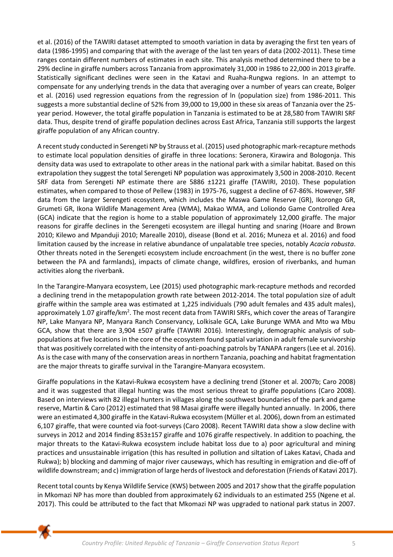et al. (2016) of the TAWIRI dataset attempted to smooth variation in data by averaging the first ten years of data (1986-1995) and comparing that with the average of the last ten years of data (2002-2011). These time ranges contain different numbers of estimates in each site. This analysis method determined there to be a 29% decline in giraffe numbers across Tanzania from approximately 31,000 in 1986 to 22,000 in 2013 giraffe. Statistically significant declines were seen in the Katavi and Ruaha-Rungwa regions. In an attempt to compensate for any underlying trends in the data that averaging over a number of years can create, Bolger et al. (2016) used regression equations from the regression of ln (population size) from 1986-2011. This suggests a more substantial decline of 52% from 39,000 to 19,000 in these six areas of Tanzania over the 25 year period. However, the total giraffe population in Tanzania is estimated to be at 28,580 from TAWIRI SRF data. Thus, despite trend of giraffe population declines across East Africa, Tanzania still supports the largest giraffe population of any African country.

A recent study conducted in Serengeti NP by Strauss et al. (2015) used photographic mark-recapture methods to estimate local population densities of giraffe in three locations: Seronera, Kirawira and Bologonja. This density data was used to extrapolate to other areas in the national park with a similar habitat. Based on this extrapolation they suggest the total Serengeti NP population was approximately 3,500 in 2008-2010. Recent SRF data from Serengeti NP estimate there are 5886 ±1221 giraffe (TAWIRI, 2010). These population estimates, when compared to those of Pellew (1983) in 1975-76, suggest a decline of 67-86%. However, SRF data from the larger Serengeti ecosystem, which includes the Maswa Game Reserve (GR), Ikorongo GR, Grumeti GR, Ikona Wildlife Management Area (WMA), Makao WMA, and Loliondo Game Controlled Area (GCA) indicate that the region is home to a stable population of approximately 12,000 giraffe. The major reasons for giraffe declines in the Serengeti ecosystem are illegal hunting and snaring (Hoare and Brown 2010; Kilewo and Mpanduji 2010; Marealle 2010), disease (Bond et al. 2016; Muneza et al. 2016) and food limitation caused by the increase in relative abundance of unpalatable tree species, notably *Acacia robusta*. Other threats noted in the Serengeti ecosystem include encroachment (in the west, there is no buffer zone between the PA and farmlands), impacts of climate change, wildfires, erosion of riverbanks, and human activities along the riverbank.

In the Tarangire-Manyara ecosystem, Lee (2015) used photographic mark-recapture methods and recorded a declining trend in the metapopulation growth rate between 2012-2014. The total population size of adult giraffe within the sample area was estimated at 1,225 individuals (790 adult females and 435 adult males), approximately 1.07 giraffe/km<sup>2</sup>. The most recent data from TAWIRI SRFs, which cover the areas of Tarangire NP, Lake Manyara NP, Manyara Ranch Conservancy, Lolkisale GCA, Lake Burunge WMA and Mto wa Mbu GCA, show that there are 3,904 ±507 giraffe (TAWIRI 2016). Interestingly, demographic analysis of subpopulations at five locations in the core of the ecosystem found spatial variation in adult female survivorship that was positively correlated with the intensity of anti-poaching patrols by TANAPA rangers (Lee et al. 2016). As is the case with many of the conservation areas in northern Tanzania, poaching and habitat fragmentation are the major threats to giraffe survival in the Tarangire-Manyara ecosystem.

Giraffe populations in the Katavi-Rukwa ecosystem have a declining trend (Stoner et al. 2007b; Caro 2008) and it was suggested that illegal hunting was the most serious threat to giraffe populations (Caro 2008). Based on interviews with 82 illegal hunters in villages along the southwest boundaries of the park and game reserve, Martin & Caro (2012) estimated that 98 Masai giraffe were illegally hunted annually. In 2006, there were an estimated 4,300 giraffe in the Katavi-Rukwa ecosystem (Müller et al. 2006), down from an estimated 6,107 giraffe, that were counted via foot-surveys (Caro 2008). Recent TAWIRI data show a slow decline with surveys in 2012 and 2014 finding 853±157 giraffe and 1076 giraffe respectively. In addition to poaching, the major threats to the Katavi-Rukwa ecosystem include habitat loss due to a) poor agricultural and mining practices and unsustainable irrigation (this has resulted in pollution and siltation of Lakes Katavi, Chada and Rukwa); b) blocking and damming of major river causeways, which has resulting in emigration and die-off of wildlife downstream; and c) immigration of large herds of livestock and deforestation (Friends of Katavi 2017).

Recent total counts by Kenya Wildlife Service (KWS) between 2005 and 2017 show that the giraffe population in Mkomazi NP has more than doubled from approximately 62 individuals to an estimated 255 (Ngene et al. 2017). This could be attributed to the fact that Mkomazi NP was upgraded to national park status in 2007.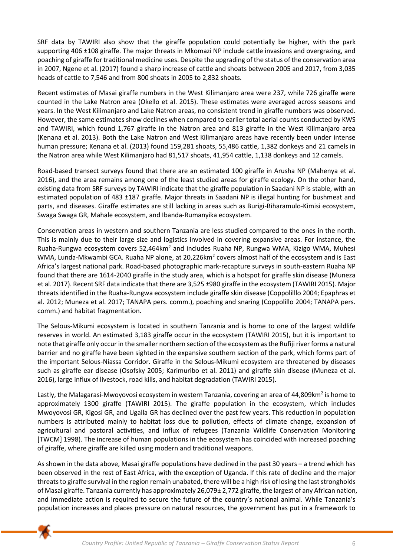SRF data by TAWIRI also show that the giraffe population could potentially be higher, with the park supporting 406 ±108 giraffe. The major threats in Mkomazi NP include cattle invasions and overgrazing, and poaching of giraffe for traditional medicine uses. Despite the upgrading of the status of the conservation area in 2007, Ngene et al. (2017) found a sharp increase of cattle and shoats between 2005 and 2017, from 3,035 heads of cattle to 7,546 and from 800 shoats in 2005 to 2,832 shoats.

Recent estimates of Masai giraffe numbers in the West Kilimanjaro area were 237, while 726 giraffe were counted in the Lake Natron area (Okello et al. 2015). These estimates were averaged across seasons and years. In the West Kilimanjaro and Lake Natron areas, no consistent trend in giraffe numbers was observed. However, the same estimates show declines when compared to earlier total aerial counts conducted by KWS and TAWIRI, which found 1,767 giraffe in the Natron area and 813 giraffe in the West Kilimanjaro area (Kenana et al. 2013). Both the Lake Natron and West Kilimanjaro areas have recently been under intense human pressure; Kenana et al. (2013) found 159,281 shoats, 55,486 cattle, 1,382 donkeys and 21 camels in the Natron area while West Kilimanjaro had 81,517 shoats, 41,954 cattle, 1,138 donkeys and 12 camels.

Road-based transect surveys found that there are an estimated 100 giraffe in Arusha NP (Mahenya et al. 2016), and the area remains among one of the least studied areas for giraffe ecology. On the other hand, existing data from SRF surveys by TAWIRI indicate that the giraffe population in Saadani NP is stable, with an estimated population of 483 ±187 giraffe. Major threats in Saadani NP is illegal hunting for bushmeat and parts, and diseases. Giraffe estimates are still lacking in areas such as Burigi-Biharamulo-Kimisi ecosystem, Swaga Swaga GR, Mahale ecosystem, and Ibanda-Rumanyika ecosystem.

Conservation areas in western and southern Tanzania are less studied compared to the ones in the north. This is mainly due to their large size and logistics involved in covering expansive areas. For instance, the Ruaha-Rungwa ecosystem covers 52,464km<sup>2</sup> and includes Ruaha NP, Rungwa WMA, Kizigo WMA, Muhesi WMA, Lunda-Mkwambi GCA. Ruaha NP alone, at 20,226km<sup>2</sup> covers almost half of the ecosystem and is East Africa's largest national park. Road-based photographic mark-recapture surveys in south-eastern Ruaha NP found that there are 1614-2040 giraffe in the study area, which is a hotspot for giraffe skin disease (Muneza et al. 2017). Recent SRF data indicate that there are 3,525 ±980 giraffe in the ecosystem (TAWIRI 2015). Major threats identified in the Ruaha-Rungwa ecosystem include giraffe skin disease (Coppolilllo 2004; Epaphras et al. 2012; Muneza et al. 2017; TANAPA pers. comm.), poaching and snaring (Coppolillo 2004; TANAPA pers. comm.) and habitat fragmentation.

The Selous-Mikumi ecosystem is located in southern Tanzania and is home to one of the largest wildlife reserves in world. An estimated 3,183 giraffe occur in the ecosystem (TAWIRI 2015), but it is important to note that giraffe only occur in the smaller northern section of the ecosystem as the Rufiji river forms a natural barrier and no giraffe have been sighted in the expansive southern section of the park, which forms part of the important Selous-Niassa Corridor. Giraffe in the Selous-Mikumi ecosystem are threatened by diseases such as giraffe ear disease (Osofsky 2005; Karimuribo et al. 2011) and giraffe skin disease (Muneza et al. 2016), large influx of livestock, road kills, and habitat degradation (TAWIRI 2015).

Lastly, the Malagarasi-Mwoyovosi ecosystem in western Tanzania, covering an area of 44,809km<sup>2</sup> is home to approximately 1300 giraffe (TAWIRI 2015). The giraffe population in the ecosystem, which includes Mwoyovosi GR, Kigosi GR, and Ugalla GR has declined over the past few years. This reduction in population numbers is attributed mainly to habitat loss due to pollution, effects of climate change, expansion of agricultural and pastoral activities, and influx of refugees (Tanzania Wildlife Conservation Monitoring [TWCM] 1998). The increase of human populations in the ecosystem has coincided with increased poaching of giraffe, where giraffe are killed using modern and traditional weapons.

As shown in the data above, Masai giraffe populations have declined in the past 30 years – a trend which has been observed in the rest of East Africa, with the exception of Uganda. If this rate of decline and the major threats to giraffe survival in the region remain unabated, there will be a high risk of losing the last strongholds of Masai giraffe. Tanzania currently has approximately 26,079± 2,772 giraffe, the largest of any African nation, and immediate action is required to secure the future of the country's national animal. While Tanzania's population increases and places pressure on natural resources, the government has put in a framework to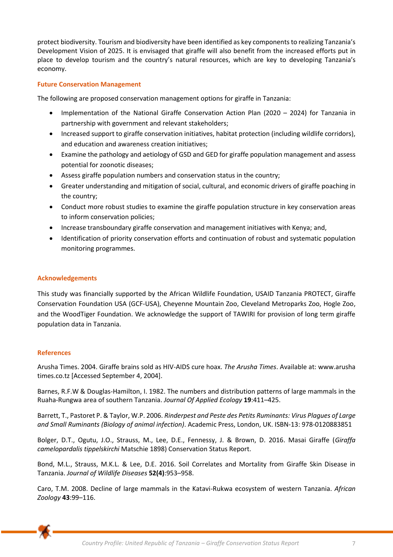protect biodiversity. Tourism and biodiversity have been identified as key components to realizing Tanzania's Development Vision of 2025. It is envisaged that giraffe will also benefit from the increased efforts put in place to develop tourism and the country's natural resources, which are key to developing Tanzania's economy.

# **Future Conservation Management**

The following are proposed conservation management options for giraffe in Tanzania:

- Implementation of the National Giraffe Conservation Action Plan (2020 2024) for Tanzania in partnership with government and relevant stakeholders;
- Increased support to giraffe conservation initiatives, habitat protection (including wildlife corridors), and education and awareness creation initiatives;
- Examine the pathology and aetiology of GSD and GED for giraffe population management and assess potential for zoonotic diseases;
- Assess giraffe population numbers and conservation status in the country;
- Greater understanding and mitigation of social, cultural, and economic drivers of giraffe poaching in the country;
- Conduct more robust studies to examine the giraffe population structure in key conservation areas to inform conservation policies;
- Increase transboundary giraffe conservation and management initiatives with Kenya; and,
- Identification of priority conservation efforts and continuation of robust and systematic population monitoring programmes.

# **Acknowledgements**

This study was financially supported by the African Wildlife Foundation, USAID Tanzania PROTECT, Giraffe Conservation Foundation USA (GCF-USA), Cheyenne Mountain Zoo, Cleveland Metroparks Zoo, Hogle Zoo, and the WoodTiger Foundation. We acknowledge the support of TAWIRI for provision of long term giraffe population data in Tanzania.

## **References**

Arusha Times. 2004. Giraffe brains sold as HIV-AIDS cure hoax. *The Arusha Times*. Available at: www.arusha times.co.tz [Accessed September 4, 2004].

Barnes, R.F.W & Douglas-Hamilton, I. 1982. The numbers and distribution patterns of large mammals in the Ruaha-Rungwa area of southern Tanzania. *Journal Of Applied Ecology* **19**:411–425.

Barrett, T., Pastoret P. & Taylor, W.P. 2006. *Rinderpest and Peste des Petits Ruminants: Virus Plagues of Large and Small Ruminants (Biology of animal infection)*. Academic Press, London, UK. ISBN-13: 978-0120883851

Bolger, D.T., Ogutu, J.O., Strauss, M., Lee, D.E., Fennessy, J. & Brown, D. 2016. Masai Giraffe (*Giraffa camelopardalis tippelskirchi* Matschie 1898) Conservation Status Report.

Bond, M.L., Strauss, M.K.L. & Lee, D.E. 2016. Soil Correlates and Mortality from Giraffe Skin Disease in Tanzania. *Journal of Wildlife Diseases* **52(4)**:953–958.

Caro, T.M. 2008. Decline of large mammals in the Katavi-Rukwa ecosystem of western Tanzania. *African Zoology* **43**:99–116.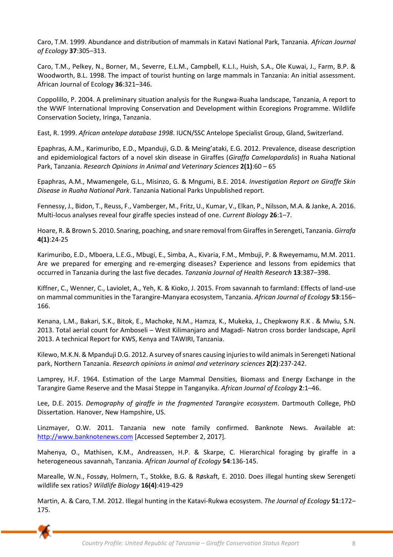Caro, T.M. 1999. Abundance and distribution of mammals in Katavi National Park, Tanzania. *African Journal of Ecology* **37**:305–313.

Caro, T.M., Pelkey, N., Borner, M., Severre, E.L.M., Campbell, K.L.I., Huish, S.A., Ole Kuwai, J., Farm, B.P. & Woodworth, B.L. 1998. The impact of tourist hunting on large mammals in Tanzania: An initial assessment. African Journal of Ecology **36**:321–346.

Coppolillo, P. 2004. A preliminary situation analysis for the Rungwa-Ruaha landscape, Tanzania, A report to the WWF International Improving Conservation and Development within Ecoregions Programme. Wildlife Conservation Society, Iringa, Tanzania.

East, R. 1999. *African antelope database 1998*. IUCN/SSC Antelope Specialist Group, Gland, Switzerland.

Epaphras, A.M., Karimuribo, E.D., Mpanduji, G.D. & Meing'ataki, E.G. 2012. Prevalence, disease description and epidemiological factors of a novel skin disease in Giraffes (*Giraffa Camelopardalis*) in Ruaha National Park, Tanzania. *Research Opinions in Animal and Veterinary Sciences* **2(1)**:60 – 65

Epaphras, A.M., Mwamengele, G.L., Misinzo, G. & Mngumi, B.E. 2014. *Investigation Report on Giraffe Skin Disease in Ruaha National Park*. Tanzania National Parks Unpublished report.

Fennessy, J., Bidon, T., Reuss, F., Vamberger, M., Fritz, U., Kumar, V., Elkan, P., Nilsson, M.A. & Janke, A. 2016. Multi-locus analyses reveal four giraffe species instead of one. *Current Biology* **26**:1–7.

Hoare, R. & Brown S. 2010. Snaring, poaching, and snare removal from Giraffes in Serengeti, Tanzania. *Girrafa* **4(1)**:24-25

Karimuribo, E.D., Mboera, L.E.G., Mbugi, E., Simba, A., Kivaria, F.M., Mmbuji, P. & Rweyemamu, M.M. 2011. Are we prepared for emerging and re-emerging diseases? Experience and lessons from epidemics that occurred in Tanzania during the last five decades. *Tanzania Journal of Health Research* **13**:387–398.

Kiffner, C., Wenner, C., Laviolet, A., Yeh, K. & Kioko, J. 2015. From savannah to farmland: Effects of land-use on mammal communities in the Tarangire-Manyara ecosystem, Tanzania. *African Journal of Ecology* **53**:156– 166.

Kenana, L.M., Bakari, S.K., Bitok, E., Machoke, N.M., Hamza, K., Mukeka, J., Chepkwony R.K . & Mwiu, S.N. 2013. Total aerial count for Amboseli – West Kilimanjaro and Magadi- Natron cross border landscape, April 2013. A technical Report for KWS, Kenya and TAWIRI, Tanzania.

Kilewo, M.K.N. & Mpanduji D.G. 2012. A survey of snares causing injuries to wild animals in Serengeti National park, Northern Tanzania. *Research opinions in animal and veterinary sciences* **2(2)**:237-242.

Lamprey, H.F. 1964. Estimation of the Large Mammal Densities, Biomass and Energy Exchange in the Tarangire Game Reserve and the Masai Steppe in Tanganyika. *African Journal of Ecology* **2**:1–46.

Lee, D.E. 2015. *Demography of giraffe in the fragmented Tarangire ecosystem*. Dartmouth College, PhD Dissertation. Hanover, New Hampshire, US.

Linzmayer, O.W. 2011. Tanzania new note family confirmed. Banknote News. Available at: [http://www.banknotenews.com](http://www.banknotenews.com/) [Accessed September 2, 2017].

Mahenya, O., Mathisen, K.M., Andreassen, H.P. & Skarpe, C. Hierarchical foraging by giraffe in a heterogeneous savannah, Tanzania. *African Journal of Ecology* **54**:136-145.

Marealle, W.N., Fossøy, Holmern, T., Stokke, B.G. & Røskaft, E. 2010. Does illegal hunting skew Serengeti wildlife sex ratios? *Wildlife Biology* **16(4)**:419-429

Martin, A. & Caro, T.M. 2012. Illegal hunting in the Katavi-Rukwa ecosystem. *The Journal of Ecology* **51**:172– 175.

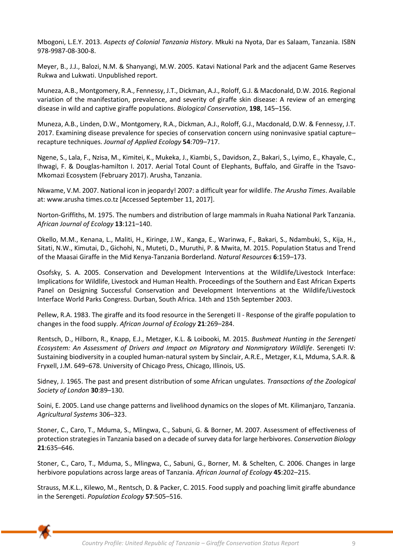Mbogoni, L.E.Y. 2013. *Aspects of Colonial Tanzania History*. Mkuki na Nyota, Dar es Salaam, Tanzania. ISBN 978-9987-08-300-8.

Meyer, B., J.J., Balozi, N.M. & Shanyangi, M.W. 2005. Katavi National Park and the adjacent Game Reserves Rukwa and Lukwati. Unpublished report.

Muneza, A.B., Montgomery, R.A., Fennessy, J.T., Dickman, A.J., Roloff, G.J. & Macdonald, D.W. 2016. Regional variation of the manifestation, prevalence, and severity of giraffe skin disease: A review of an emerging disease in wild and captive giraffe populations. *Biological Conservation*, **198**, 145–156.

Muneza, A.B., Linden, D.W., Montgomery, R.A., Dickman, A.J., Roloff, G.J., Macdonald, D.W. & Fennessy, J.T. 2017. Examining disease prevalence for species of conservation concern using noninvasive spatial capture– recapture techniques. *Journal of Applied Ecology* **54**:709–717.

Ngene, S., Lala, F., Nzisa, M., Kimitei, K., Mukeka, J., Kiambi, S., Davidson, Z., Bakari, S., Lyimo, E., Khayale, C., Ihwagi, F. & Douglas-hamilton I. 2017. Aerial Total Count of Elephants, Buffalo, and Giraffe in the Tsavo-Mkomazi Ecosystem (February 2017). Arusha, Tanzania.

Nkwame, V.M. 2007. National icon in jeopardy! 2007: a difficult year for wildlife. *The Arusha Times*. Available at: www.arusha times.co.tz [Accessed September 11, 2017].

Norton-Griffiths, M. 1975. The numbers and distribution of large mammals in Ruaha National Park Tanzania. *African Journal of Ecology* **13**:121–140.

Okello, M.M., Kenana, L., Maliti, H., Kiringe, J.W., Kanga, E., Warinwa, F., Bakari, S., Ndambuki, S., Kija, H., Sitati, N.W., Kimutai, D., Gichohi, N., Muteti, D., Muruthi, P. & Mwita, M. 2015. Population Status and Trend of the Maasai Giraffe in the Mid Kenya-Tanzania Borderland. *Natural Resources* **6**:159–173.

Osofsky, S. A. 2005. Conservation and Development Interventions at the Wildlife/Livestock Interface: Implications for Wildlife, Livestock and Human Health. Proceedings of the Southern and East African Experts Panel on Designing Successful Conservation and Development Interventions at the Wildlife/Livestock Interface World Parks Congress. Durban, South Africa. 14th and 15th September 2003.

Pellew, R.A. 1983. The giraffe and its food resource in the Serengeti II - Response of the giraffe population to changes in the food supply. *African Journal of Ecology* **21**:269–284.

Rentsch, D., Hilborn, R., Knapp, E.J., Metzger, K.L. & Loibooki, M. 2015. *Bushmeat Hunting in the Serengeti Ecosystem: An Assessment of Drivers and Impact on Migratory and Nonmigratory Wildlife*. Serengeti IV: Sustaining biodiversity in a coupled human-natural system by Sinclair, A.R.E., Metzger, K.L, Mduma, S.A.R. & Fryxell, J.M. 649–678. University of Chicago Press, Chicago, Illinois, US.

Sidney, J. 1965. The past and present distribution of some African ungulates. *Transactions of the Zoological Society of London* **30**:89–130.

Soini, E. 2005. Land use change patterns and livelihood dynamics on the slopes of Mt. Kilimanjaro, Tanzania. *Agricultural Systems* 306–323.

Stoner, C., Caro, T., Mduma, S., Mlingwa, C., Sabuni, G. & Borner, M. 2007. Assessment of effectiveness of protection strategies in Tanzania based on a decade of survey data for large herbivores. *Conservation Biology*  **21**:635–646.

Stoner, C., Caro, T., Mduma, S., Mlingwa, C., Sabuni, G., Borner, M. & Schelten, C. 2006. Changes in large herbivore populations across large areas of Tanzania. *African Journal of Ecology* **45**:202–215.

Strauss, M.K.L., Kilewo, M., Rentsch, D. & Packer, C. 2015. Food supply and poaching limit giraffe abundance in the Serengeti. *Population Ecology* **57**:505–516.

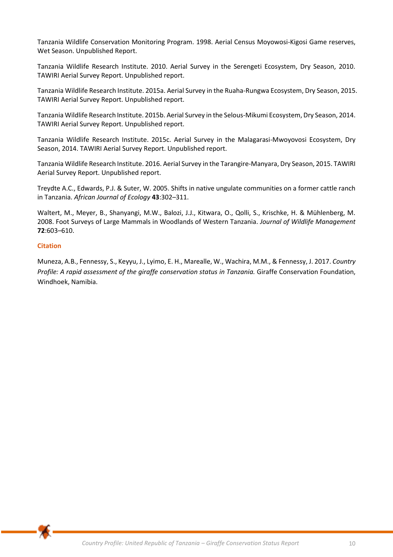Tanzania Wildlife Conservation Monitoring Program. 1998. Aerial Census Moyowosi-Kigosi Game reserves, Wet Season. Unpublished Report.

Tanzania Wildlife Research Institute. 2010. Aerial Survey in the Serengeti Ecosystem, Dry Season, 2010. TAWIRI Aerial Survey Report. Unpublished report.

Tanzania Wildlife Research Institute. 2015a. Aerial Survey in the Ruaha-Rungwa Ecosystem, Dry Season, 2015. TAWIRI Aerial Survey Report. Unpublished report.

Tanzania Wildlife Research Institute. 2015b. Aerial Survey in the Selous-Mikumi Ecosystem, Dry Season, 2014. TAWIRI Aerial Survey Report. Unpublished report.

Tanzania Wildlife Research Institute. 2015c. Aerial Survey in the Malagarasi-Mwoyovosi Ecosystem, Dry Season, 2014. TAWIRI Aerial Survey Report. Unpublished report.

Tanzania Wildlife Research Institute. 2016. Aerial Survey in the Tarangire-Manyara, Dry Season, 2015. TAWIRI Aerial Survey Report. Unpublished report.

Treydte A.C., Edwards, P.J. & Suter, W. 2005. Shifts in native ungulate communities on a former cattle ranch in Tanzania. *African Journal of Ecology* **43**:302–311.

Waltert, M., Meyer, B., Shanyangi, M.W., Balozi, J.J., Kitwara, O., Qolli, S., Krischke, H. & Mühlenberg, M. 2008. Foot Surveys of Large Mammals in Woodlands of Western Tanzania. *Journal of Wildlife Management* **72**:603–610.

## **Citation**

Muneza, A.B., Fennessy, S., Keyyu, J., Lyimo, E. H., Marealle, W., Wachira, M.M., & Fennessy, J. 2017. *Country Profile: A rapid assessment of the giraffe conservation status in Tanzania.* Giraffe Conservation Foundation, Windhoek, Namibia.